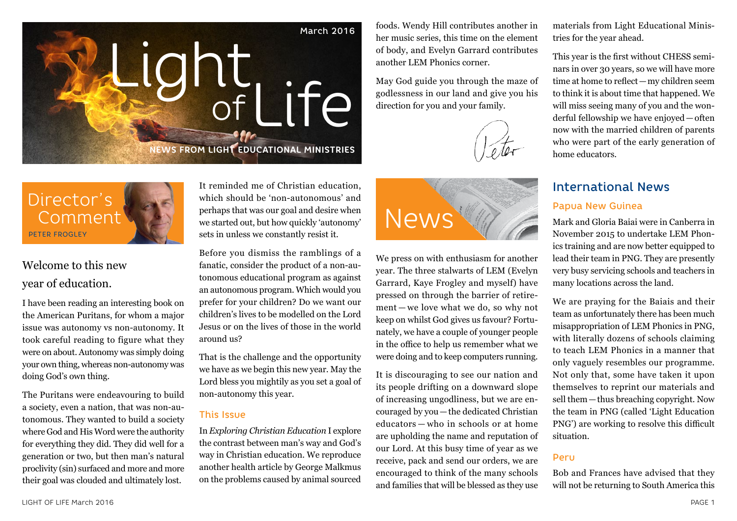

foods. Wendy Hill contributes another in her music series, this time on the element of body, and Evelyn Garrard contributes another LEM Phonics corner.

May God guide you through the maze of godlessness in our land and give you his direction for you and your family.

materials from Light Educational Ministries for the year ahead.

This year is the first without CHESS seminars in over 30 years, so we will have more time at home to reflect—my children seem to think it is about time that happened. We will miss seeing many of you and the wonderful fellowship we have enjoyed—often now with the married children of parents who were part of the early generation of home educators.

# International News

#### Papua New Guinea

Mark and Gloria Baiai were in Canberra in November 2015 to undertake LEM Phonics training and are now better equipped to lead their team in PNG. They are presently very busy servicing schools and teachers in many locations across the land.

We are praying for the Baiais and their team as unfortunately there has been much misappropriation of LEM Phonics in PNG, with literally dozens of schools claiming to teach LEM Phonics in a manner that only vaguely resembles our programme. Not only that, some have taken it upon themselves to reprint our materials and sell them—thus breaching copyright. Now the team in PNG (called 'Light Education PNG') are working to resolve this difficult situation.

#### Peru

Bob and Frances have advised that they will not be returning to South America this

Director's PETER FROGLEY

# Welcome to this new year of education.

I have been reading an interesting book on the American Puritans, for whom a major issue was autonomy vs non-autonomy. It took careful reading to figure what they were on about. Autonomy was simply doing your own thing, whereas non-autonomy was doing God's own thing.

The Puritans were endeavouring to build a society, even a nation, that was non-autonomous. They wanted to build a society where God and His Word were the authority for everything they did. They did well for a generation or two, but then man's natural proclivity (sin) surfaced and more and more their goal was clouded and ultimately lost.

It reminded me of Christian education, which should be 'non-autonomous' and perhaps that was our goal and desire when we started out, but how quickly 'autonomy' sets in unless we constantly resist it.

Before you dismiss the ramblings of a fanatic, consider the product of a non-autonomous educational program as against an autonomous program. Which would you prefer for your children? Do we want our children's lives to be modelled on the Lord Jesus or on the lives of those in the world around us?

That is the challenge and the opportunity we have as we begin this new year. May the Lord bless you mightily as you set a goal of non-autonomy this year.

#### This Issue

In *Exploring Christian Education* I explore the contrast between man's way and God's way in Christian education. We reproduce another health article by George Malkmus on the problems caused by animal sourced



We press on with enthusiasm for another year. The three stalwarts of LEM (Evelyn Garrard, Kaye Frogley and myself) have pressed on through the barrier of retirement — we love what we do, so why not keep on whilst God gives us favour? Fortunately, we have a couple of younger people in the office to help us remember what we were doing and to keep computers running.

It is discouraging to see our nation and its people drifting on a downward slope of increasing ungodliness, but we are encouraged by you—the dedicated Christian educators — who in schools or at home are upholding the name and reputation of our Lord. At this busy time of year as we receive, pack and send our orders, we are encouraged to think of the many schools and families that will be blessed as they use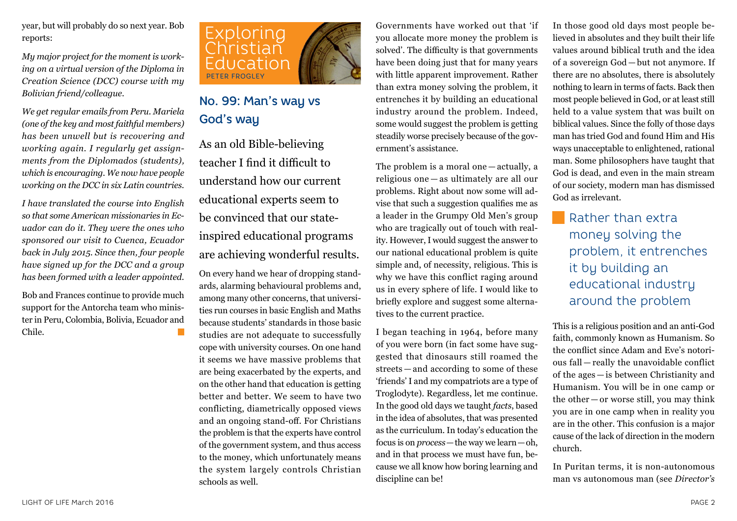year, but will probably do so next year. Bob reports:

*My major project for the moment is working on a virtual version of the Diploma in Creation Science (DCC) course with my Bolivian friend/colleague.*

*We get regular emails from Peru. Mariela (one of the key and most faithful members) has been unwell but is recovering and working again. I regularly get assignments from the Diplomados (students), which is encouraging. We now have people working on the DCC in six Latin countries.*

*I have translated the course into English so that some American missionaries in Ecuador can do it. They were the ones who sponsored our visit to Cuenca, Ecuador back in July 2015. Since then, four people have signed up for the DCC and a group has been formed with a leader appointed.*

Bob and Frances continue to provide much support for the Antorcha team who minister in Peru, Colombia, Bolivia, Ecuador and Chile.



# No. 99: Man's way vs God's way

As an old Bible-believing teacher I find it difficult to understand how our current educational experts seem to be convinced that our stateinspired educational programs are achieving wonderful results.

On every hand we hear of dropping standards, alarming behavioural problems and, among many other concerns, that universities run courses in basic English and Maths because students' standards in those basic studies are not adequate to successfully cope with university courses. On one hand it seems we have massive problems that are being exacerbated by the experts, and on the other hand that education is getting better and better. We seem to have two conflicting, diametrically opposed views and an ongoing stand-off. For Christians the problem is that the experts have control of the government system, and thus access to the money, which unfortunately means the system largely controls Christian schools as well.

Governments have worked out that 'if you allocate more money the problem is solved'. The difficulty is that governments have been doing just that for many years with little apparent improvement. Rather than extra money solving the problem, it entrenches it by building an educational industry around the problem. Indeed, some would suggest the problem is getting steadily worse precisely because of the government's assistance.

The problem is a moral one — actually, a religious one — as ultimately are all our problems. Right about now some will advise that such a suggestion qualifies me as a leader in the Grumpy Old Men's group who are tragically out of touch with reality. However, I would suggest the answer to our national educational problem is quite simple and, of necessity, religious. This is why we have this conflict raging around us in every sphere of life. I would like to briefly explore and suggest some alternatives to the current practice.

I began teaching in 1964, before many of you were born (in fact some have suggested that dinosaurs still roamed the streets — and according to some of these 'friends' I and my compatriots are a type of Troglodyte). Regardless, let me continue. In the good old days we taught *facts*, based in the idea of absolutes, that was presented as the curriculum. In today's education the focus is on *process*—the way we learn—oh, and in that process we must have fun, because we all know how boring learning and discipline can be!

In those good old days most people believed in absolutes and they built their life values around biblical truth and the idea of a sovereign God — but not anymore. If there are no absolutes, there is absolutely nothing to learn in terms of facts. Back then most people believed in God, or at least still held to a value system that was built on biblical values. Since the folly of those days man has tried God and found Him and His ways unacceptable to enlightened, rational man. Some philosophers have taught that God is dead, and even in the main stream of our society, modern man has dismissed God as irrelevant.

Rather than extra money solving the problem, it entrenches it by building an educational industry around the problem

This is a religious position and an anti-God faith, commonly known as Humanism. So the conflict since Adam and Eve's notorious fall — really the unavoidable conflict of the ages — is between Christianity and Humanism. You will be in one camp or the other — or worse still, you may think you are in one camp when in reality you are in the other. This confusion is a major cause of the lack of direction in the modern church.

In Puritan terms, it is non-autonomous man vs autonomous man (see *Director's*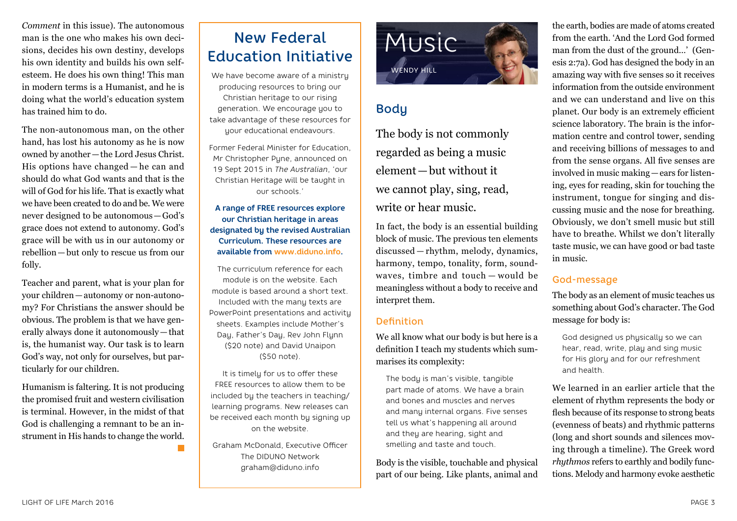*Comment* in this issue). The autonomous man is the one who makes his own decisions, decides his own destiny, develops his own identity and builds his own selfesteem. He does his own thing! This man in modern terms is a Humanist, and he is doing what the world's education system has trained him to do.

The non-autonomous man, on the other hand, has lost his autonomy as he is now owned by another—the Lord Jesus Christ. His options have changed — he can and should do what God wants and that is the will of God for his life. That is exactly what we have been created to do and be. We were never designed to be autonomous—God's grace does not extend to autonomy. God's grace will be with us in our autonomy or rebellion—but only to rescue us from our folly.

Teacher and parent, what is your plan for your children—autonomy or non-autonomy? For Christians the answer should be obvious. The problem is that we have generally always done it autonomously—that is, the humanist way. Our task is to learn God's way, not only for ourselves, but particularly for our children.

Humanism is faltering. It is not producing the promised fruit and western civilisation is terminal. However, in the midst of that God is challenging a remnant to be an instrument in His hands to change the world.

# New Federal Education Initiative

We have become aware of a ministry producing resources to bring our Christian heritage to our rising generation. We encourage you to take advantage of these resources for your educational endeavours.

Former Federal Minister for Education, Mr Christopher Pune, announced on 19 Sept 2015 in *The Australian*, 'our Christian Heritage will be taught in our schools.'

**A range of FREE resources explore our Christian heritage in areas designated by the revised Australian Curriculum. These resources are available from www.diduno.info.**

The curriculum reference for each module is on the website. Each module is based around a short text. Included with the many texts are PowerPoint presentations and activity sheets. Examples include Mother's Day, Father's Day, Rev John Flynn (\$20 note) and David Unaipon (\$50 note).

It is timely for us to offer these FREE resources to allow them to be included by the teachers in teaching/ learning programs. New releases can be received each month by signing up on the website.

Graham McDonald, Executive Officer The DIDUNO Network graham@diduno.info



# Body

The body is not commonly regarded as being a music element—but without it we cannot play, sing, read, write or hear music.

In fact, the body is an essential building block of music. The previous ten elements discussed — rhythm, melody, dynamics, harmony, tempo, tonality, form, soundwaves, timbre and touch — would be meaningless without a body to receive and interpret them.

### Definition

We all know what our body is but here is a definition I teach my students which summarises its complexity:

The body is man's visible, tangible part made of atoms. We have a brain and bones and muscles and nerves and many internal organs. Five senses tell us what's happening all around and they are hearing, sight and smelling and taste and touch.

Body is the visible, touchable and physical part of our being. Like plants, animal and the earth, bodies are made of atoms created from the earth. 'And the Lord God formed man from the dust of the ground…' (Genesis 2:7a). God has designed the body in an amazing way with five senses so it receives information from the outside environment and we can understand and live on this planet. Our body is an extremely efficient science laboratory. The brain is the information centre and control tower, sending and receiving billions of messages to and from the sense organs. All five senses are involved in music making—ears for listening, eyes for reading, skin for touching the instrument, tongue for singing and discussing music and the nose for breathing. Obviously, we don't smell music but still have to breathe. Whilst we don't literally taste music, we can have good or bad taste in music.

## God-message

The body as an element of music teaches us something about God's character. The God message for body is:

God designed us physically so we can hear, read, write, play and sing music for His glory and for our refreshment and health.

We learned in an earlier article that the element of rhythm represents the body or flesh because of its response to strong beats (evenness of beats) and rhythmic patterns (long and short sounds and silences moving through a timeline). The Greek word *rhythmos* refers to earthly and bodily functions. Melody and harmony evoke aesthetic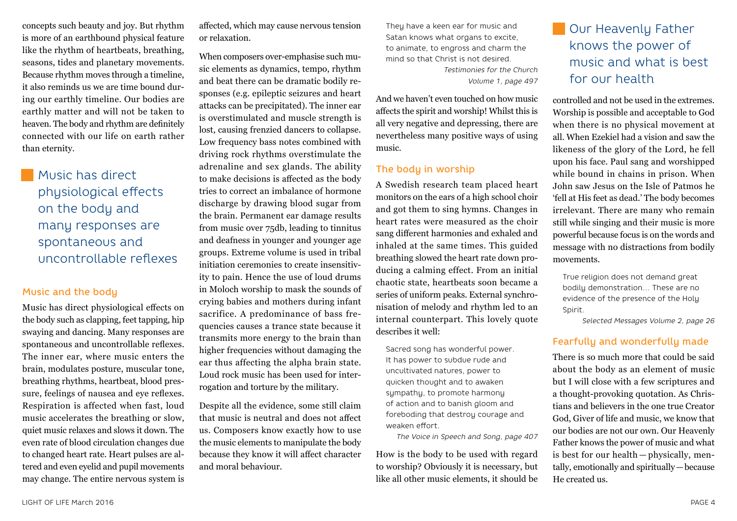concepts such beauty and joy. But rhythm is more of an earthbound physical feature like the rhythm of heartbeats, breathing, seasons, tides and planetary movements. Because rhythm moves through a timeline, it also reminds us we are time bound during our earthly timeline. Our bodies are earthly matter and will not be taken to heaven. The body and rhythm are definitely connected with our life on earth rather than eternity.

# **Music has direct** physiological effects on the body and many responses are spontaneous and uncontrollable reflexes

#### Music and the body

Music has direct physiological effects on the body such as clapping, feet tapping, hip swaying and dancing. Many responses are spontaneous and uncontrollable reflexes. The inner ear, where music enters the brain, modulates posture, muscular tone, breathing rhythms, heartbeat, blood pressure, feelings of nausea and eye reflexes. Respiration is affected when fast, loud music accelerates the breathing or slow, quiet music relaxes and slows it down. The even rate of blood circulation changes due to changed heart rate. Heart pulses are altered and even eyelid and pupil movements may change. The entire nervous system is affected, which may cause nervous tension or relaxation.

When composers over-emphasise such music elements as dynamics, tempo, rhythm and beat there can be dramatic bodily responses (e.g. epileptic seizures and heart attacks can be precipitated). The inner ear is overstimulated and muscle strength is lost, causing frenzied dancers to collapse. Low frequency bass notes combined with driving rock rhythms overstimulate the adrenaline and sex glands. The ability to make decisions is affected as the body tries to correct an imbalance of hormone discharge by drawing blood sugar from the brain. Permanent ear damage results from music over 75db, leading to tinnitus and deafness in younger and younger age groups. Extreme volume is used in tribal initiation ceremonies to create insensitivity to pain. Hence the use of loud drums in Moloch worship to mask the sounds of crying babies and mothers during infant sacrifice. A predominance of bass frequencies causes a trance state because it transmits more energy to the brain than higher frequencies without damaging the ear thus affecting the alpha brain state. Loud rock music has been used for interrogation and torture by the military.

Despite all the evidence, some still claim that music is neutral and does not affect us. Composers know exactly how to use the music elements to manipulate the body because they know it will affect character and moral behaviour.

They have a keen ear for music and Satan knows what organs to excite, to animate, to engross and charm the mind so that Christ is not desired. *Testimonies for the Church Volume 1, page 497*

And we haven't even touched on how music affects the spirit and worship! Whilst this is all very negative and depressing, there are nevertheless many positive ways of using music.

#### The body in worship

A Swedish research team placed heart monitors on the ears of a high school choir and got them to sing hymns. Changes in heart rates were measured as the choir sang different harmonies and exhaled and inhaled at the same times. This guided breathing slowed the heart rate down producing a calming effect. From an initial chaotic state, heartbeats soon became a series of uniform peaks. External synchronisation of melody and rhythm led to an internal counterpart. This lovely quote describes it well:

Sacred song has wonderful power. It has power to subdue rude and uncultivated natures, power to quicken thought and to awaken sympathy, to promote harmony of action and to banish gloom and foreboding that destroy courage and weaken effort.

*The Voice in Speech and Song, page 407*

How is the body to be used with regard to worship? Obviously it is necessary, but like all other music elements, it should be

# Our Heavenly Father knows the power of music and what is best for our health

controlled and not be used in the extremes. Worship is possible and acceptable to God when there is no physical movement at all. When Ezekiel had a vision and saw the likeness of the glory of the Lord, he fell upon his face. Paul sang and worshipped while bound in chains in prison. When John saw Jesus on the Isle of Patmos he 'fell at His feet as dead.' The body becomes irrelevant. There are many who remain still while singing and their music is more powerful because focus is on the words and message with no distractions from bodily movements.

True religion does not demand great bodily demonstration… These are no evidence of the presence of the Holy Spirit.

*Selected Messages Volume 2, page 26*

#### Fearfully and wonderfully made

There is so much more that could be said about the body as an element of music but I will close with a few scriptures and a thought-provoking quotation. As Christians and believers in the one true Creator God, Giver of life and music, we know that our bodies are not our own. Our Heavenly Father knows the power of music and what is best for our health — physically, mentally, emotionally and spiritually—because He created us.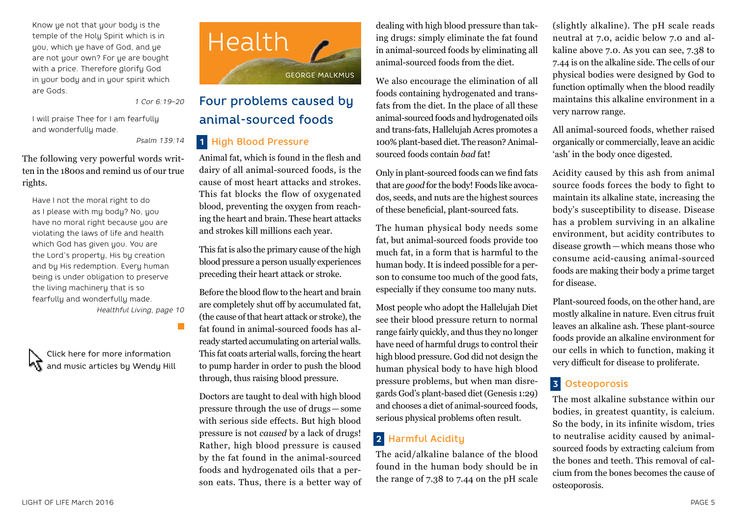Know ye not that your body is the temple of the Holy Spirit which is in you, which ye have of God, and ye are not your own? For ye are bought with a price. Therefore glorify God in your body and in your spirit which are Gods.

*1 Cor 6:19–20*

I will praise Thee for I am fearfully and wonderfully made.

*Psalm 139:14*

The following very powerful words written in the 1800s and remind us of our true rights.

Have I not the moral right to do as I please with mu bodu? No, you have no moral right because you are violating the laws of life and health which God has given you. You are the Lord's property, His by creation and by His redemption. Every human being is under obligation to preserve the living machinery that is so fearfully and wonderfully made. *Healthful Living, page 10*

Click here for more information and music articles by Wendy Hill



# Four problems caused by animal-sourced foods

### **1** High Blood Pressure

Animal fat, which is found in the flesh and dairy of all animal-sourced foods, is the cause of most heart attacks and strokes. This fat blocks the flow of oxygenated blood, preventing the oxygen from reaching the heart and brain. These heart attacks and strokes kill millions each year.

This fat is also the primary cause of the high blood pressure a person usually experiences preceding their heart attack or stroke.

Before the blood flow to the heart and brain are completely shut off by accumulated fat, (the cause of that heart attack or stroke), the fat found in animal-sourced foods has already started accumulating on arterial walls. This fat coats arterial walls, forcing the heart to pump harder in order to push the blood through, thus raising blood pressure.

Doctors are taught to deal with high blood pressure through the use of drugs—some with serious side effects. But high blood pressure is not *caused* by a lack of drugs! Rather, high blood pressure is caused by the fat found in the animal-sourced foods and hydrogenated oils that a person eats. Thus, there is a better way of

dealing with high blood pressure than taking drugs: simply eliminate the fat found in animal-sourced foods by eliminating all animal-sourced foods from the diet.

We also encourage the elimination of all foods containing hydrogenated and transfats from the diet. In the place of all these animal-sourced foods and hydrogenated oils and trans-fats, Hallelujah Acres promotes a 100% plant-based diet. The reason? Animalsourced foods contain *bad* fat!

Only in plant-sourced foods can we find fats that are *good* for the body! Foods like avocados, seeds, and nuts are the highest sources of these beneficial, plant-sourced fats.

The human physical body needs some fat, but animal-sourced foods provide too much fat, in a form that is harmful to the human body. It is indeed possible for a person to consume too much of the good fats, especially if they consume too many nuts.

Most people who adopt the Hallelujah Diet see their blood pressure return to normal range fairly quickly, and thus they no longer have need of harmful drugs to control their high blood pressure. God did not design the human physical body to have high blood pressure problems, but when man disregards God's plant-based diet (Genesis 1:29) and chooses a diet of animal-sourced foods, serious physical problems often result.

## **2** Harmful Acidity

The acid/alkaline balance of the blood found in the human body should be in the range of 7.38 to 7.44 on the pH scale

(slightly alkaline). The pH scale reads neutral at 7.0, acidic below 7.0 and alkaline above 7.0. As you can see, 7.38 to 7.44 is on the alkaline side. The cells of our physical bodies were designed by God to function optimally when the blood readily maintains this alkaline environment in a very narrow range.

All animal-sourced foods, whether raised organically or commercially, leave an acidic 'ash' in the body once digested.

Acidity caused by this ash from animal source foods forces the body to fight to maintain its alkaline state, increasing the body's susceptibility to disease. Disease has a problem surviving in an alkaline environment, but acidity contributes to disease growth—which means those who consume acid-causing animal-sourced foods are making their body a prime target for disease.

Plant-sourced foods, on the other hand, are mostly alkaline in nature. Even citrus fruit leaves an alkaline ash. These plant-source foods provide an alkaline environment for our cells in which to function, making it very difficult for disease to proliferate.

## **3** Osteoporosis

The most alkaline substance within our bodies, in greatest quantity, is calcium. So the body, in its infinite wisdom, tries to neutralise acidity caused by animalsourced foods by extracting calcium from the bones and teeth. This removal of calcium from the bones becomes the cause of osteoporosis.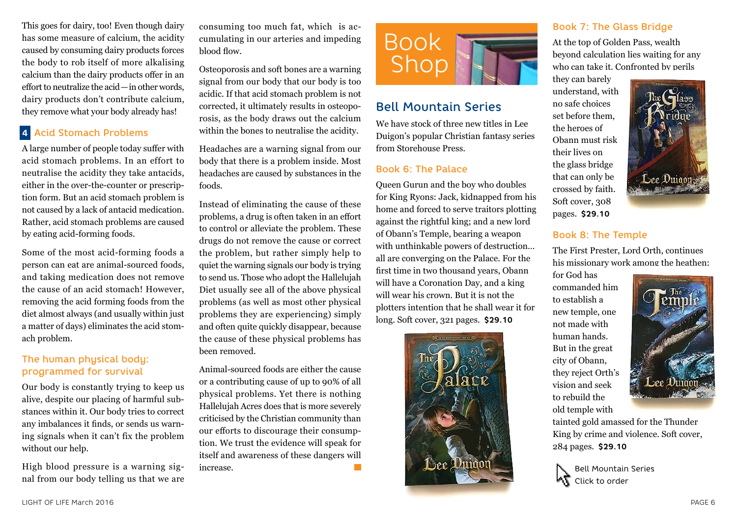This goes for dairy, too! Even though dairy has some measure of calcium, the acidity caused by consuming dairy products forces the body to rob itself of more alkalising calcium than the dairy products offer in an effort to neutralize the acid—in other words, dairy products don't contribute calcium, they remove what your body already has!

### **4** Acid Stomach Problems

A large number of people today suffer with acid stomach problems. In an effort to neutralise the acidity they take antacids, either in the over-the-counter or prescription form. But an acid stomach problem is not caused by a lack of antacid medication. Rather, acid stomach problems are caused by eating acid-forming foods.

Some of the most acid-forming foods a person can eat are animal-sourced foods, and taking medication does not remove the cause of an acid stomach! However, removing the acid forming foods from the diet almost always (and usually within just a matter of days) eliminates the acid stomach problem.

### The human physical body: programmed for survival

Our body is constantly trying to keep us alive, despite our placing of harmful substances within it. Our body tries to correct any imbalances it finds, or sends us warning signals when it can't fix the problem without our help.

High blood pressure is a warning signal from our body telling us that we are consuming too much fat, which is accumulating in our arteries and impeding blood flow.

Osteoporosis and soft bones are a warning signal from our body that our body is too acidic. If that acid stomach problem is not corrected, it ultimately results in osteoporosis, as the body draws out the calcium within the bones to neutralise the acidity.

Headaches are a warning signal from our body that there is a problem inside. Most headaches are caused by substances in the foods.

Instead of eliminating the cause of these problems, a drug is often taken in an effort to control or alleviate the problem. These drugs do not remove the cause or correct the problem, but rather simply help to quiet the warning signals our body is trying to send us. Those who adopt the Hallelujah Diet usually see all of the above physical problems (as well as most other physical problems they are experiencing) simply and often quite quickly disappear, because the cause of these physical problems has been removed.

Animal-sourced foods are either the cause or a contributing cause of up to 90% of all physical problems. Yet there is nothing Hallelujah Acres does that is more severely criticised by the Christian community than our efforts to discourage their consumption. We trust the evidence will speak for itself and awareness of these dangers will increase. **Tall** 



## Bell Mountain Series

We have stock of three new titles in Lee Duigon's popular Christian fantasy series from Storehouse Press.

#### Book 6: The Palace

Queen Gurun and the boy who doubles for King Ryons: Jack, kidnapped from his home and forced to serve traitors plotting against the rightful king; and a new lord of Obann's Temple, bearing a weapon with unthinkable powers of destruction… all are converging on the Palace. For the first time in two thousand years, Obann will have a Coronation Day, and a king will wear his crown. But it is not the plotters intention that he shall wear it for long. Soft cover, 321 pages. **\$29.10**



### Book 7: The Glass Bridge

At the top of Golden Pass, wealth beyond calculation lies waiting for any who can take it. Confronted by perils

they can barely understand, with no safe choices set before them, the heroes of Obann must risk their lives on the glass bridge that can only be crossed by faith. Soft cover, 308 pages. **\$29.10**



#### Book 8: The Temple

The First Prester, Lord Orth, continues his missionary work among the heathen;

for God has commanded him to establish a new temple, one not made with human hands. But in the great city of Obann, they reject Orth's vision and seek to rebuild the old temple with



tainted gold amassed for the Thunder King by crime and violence. Soft cover, 284 pages. **\$29.10**

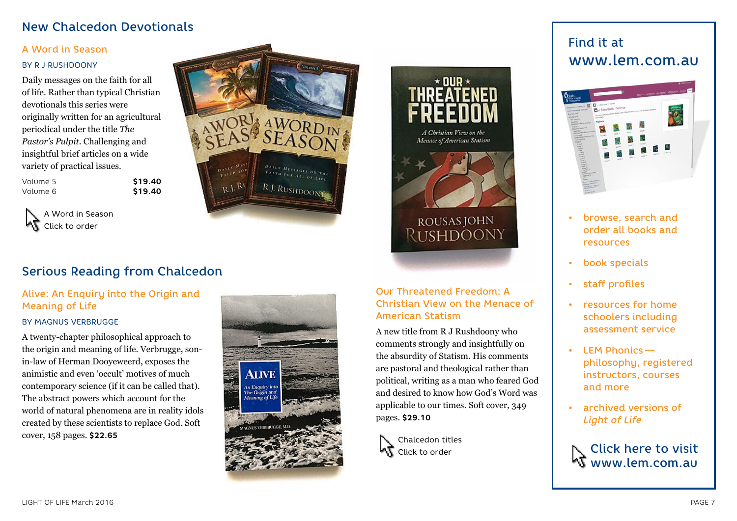## New Chalcedon Devotionals

#### A Word in Season

#### BY R J RUSHDOONY

Daily messages on the faith for all of life. Rather than typical Christian devotionals this series were originally written for an agricultural periodical under the title *The Pastor's Pulpit*. Challenging and insightful brief articles on a wide variety of practical issues.

| Volume 5 | \$19.40 |
|----------|---------|
| Volume 6 | \$19.40 |

A Word in Season - 7 Click to order



# Serious Reading from Chalcedon

## Alive: An Enquiry into the Origin and Meaning of Life

#### BY MAGNUS VERBRUGGE

A twenty-chapter philosophical approach to the origin and meaning of life. Verbrugge, sonin-law of Herman Dooyeweerd, exposes the animistic and even 'occult' motives of much contemporary science (if it can be called that). The abstract powers which account for the world of natural phenomena are in reality idols created by these scientists to replace God. Soft cover, 158 pages. **\$22.65**





ROUSAS JOHN

RUSHDOONY

∗ ulip ∗

A Christian View on the **Menace of American Statism** 

A new title from R J Rushdoony who comments strongly and insightfully on the absurdity of Statism. His comments are pastoral and theological rather than political, writing as a man who feared God and desired to know how God's Word was applicable to our times. Soft cover, 349 pages. **\$29.10**

Chalcedon titles **KT** Click to order

# Find it at www.lem.com.au



- browse, search and order all books and resources
- book specials
- staff profiles
- resources for home schoolers including assessment service
- LEM Phonics   philosophy, registered instructors, courses and more
- archived versions of *Light of Life*